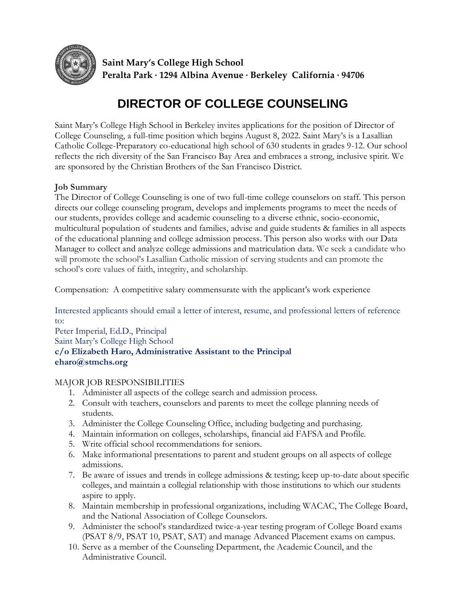

**Saint Mary's College High School Peralta Park ∙ 1294 Albina Avenue ∙ Berkeley California ∙ 94706**

# **DIRECTOR OF COLLEGE COUNSELING**

Saint Mary's College High School in Berkeley invites applications for the position of Director of College Counseling, a full-time position which begins August 8, 2022. Saint Mary's is a Lasallian Catholic College-Preparatory co-educational high school of 630 students in grades 9-12. Our school reflects the rich diversity of the San Francisco Bay Area and embraces a strong, inclusive spirit. We are sponsored by the Christian Brothers of the San Francisco District.

# **Job Summary**

The Director of College Counseling is one of two full-time college counselors on staff. This person directs our college counseling program, develops and implements programs to meet the needs of our students, provides college and academic counseling to a diverse ethnic, socio-economic, multicultural population of students and families, advise and guide students & families in all aspects of the educational planning and college admission process. This person also works with our Data Manager to collect and analyze college admissions and matriculation data. We seek a candidate who will promote the school's Lasallian Catholic mission of serving students and can promote the school's core values of faith, integrity, and scholarship.

Compensation: A competitive salary commensurate with the applicant's work experience

Interested applicants should email a letter of interest, resume, and professional letters of reference to:

Peter Imperial, Ed.D., Principal Saint Mary's College High School **c/o Elizabeth Haro, Administrative Assistant to the Principal eharo@stmchs.org**

### MAJOR JOB RESPONSIBILITIES

- 1. Administer all aspects of the college search and admission process.
- 2. Consult with teachers, counselors and parents to meet the college planning needs of students.
- 3. Administer the College Counseling Office, including budgeting and purchasing.
- 4. Maintain information on colleges, scholarships, financial aid FAFSA and Profile.
- 5. Write official school recommendations for seniors.
- 6. Make informational presentations to parent and student groups on all aspects of college admissions.
- 7. Be aware of issues and trends in college admissions & testing; keep up-to-date about specific colleges, and maintain a collegial relationship with those institutions to which our students aspire to apply.
- 8. Maintain membership in professional organizations, including WACAC, The College Board, and the National Association of College Counselors.
- 9. Administer the school's standardized twice-a-year testing program of College Board exams (PSAT 8/9, PSAT 10, PSAT, SAT) and manage Advanced Placement exams on campus.
- 10. Serve as a member of the Counseling Department, the Academic Council, and the Administrative Council.